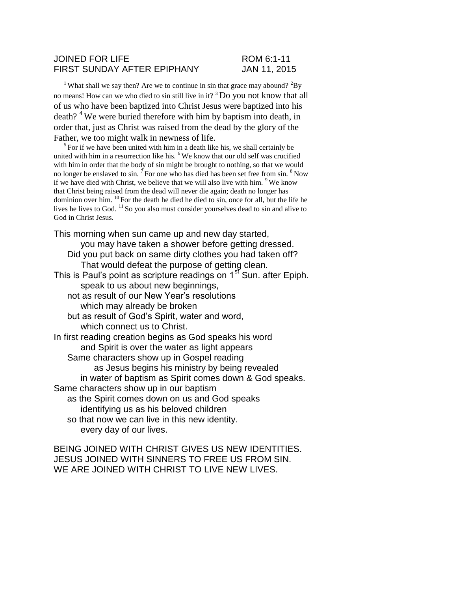### JOINED FOR LIFE ROM 6:1-11 FIRST SUNDAY AFTER EPIPHANY JAN 11, 2015

<sup>1</sup> What shall we say then? Are we to continue in sin that grace may abound?  ${}^{2}By$ no means! How can we who died to sin still live in it? <sup>3</sup> Do you not know that all of us who have been baptized into Christ Jesus were baptized into his death?<sup>4</sup> We were buried therefore with him by baptism into death, in order that, just as Christ was raised from the dead by the glory of the Father, we too might walk in newness of life.

 $5$  For if we have been united with him in a death like his, we shall certainly be united with him in a resurrection like his.  $6$  We know that our old self was crucified with him in order that the body of sin might be brought to nothing, so that we would no longer be enslaved to sin.<sup>7</sup> For one who has died has been set free from sin.<sup>8</sup> Now if we have died with Christ, we believe that we will also live with him.  $9$  We know that Christ being raised from the dead will never die again; death no longer has dominion over him.  $^{10}$  For the death he died he died to sin, once for all, but the life he lives he lives to God.  $^{11}$  So you also must consider yourselves dead to sin and alive to God in Christ Jesus.

This morning when sun came up and new day started, you may have taken a shower before getting dressed. Did you put back on same dirty clothes you had taken off? That would defeat the purpose of getting clean. This is Paul's point as scripture readings on 1<sup>st</sup> Sun. after Epiph. speak to us about new beginnings, not as result of our New Year's resolutions which may already be broken but as result of God's Spirit, water and word, which connect us to Christ. In first reading creation begins as God speaks his word and Spirit is over the water as light appears Same characters show up in Gospel reading as Jesus begins his ministry by being revealed in water of baptism as Spirit comes down & God speaks. Same characters show up in our baptism as the Spirit comes down on us and God speaks identifying us as his beloved children so that now we can live in this new identity. every day of our lives.

BEING JOINED WITH CHRIST GIVES US NEW IDENTITIES. JESUS JOINED WITH SINNERS TO FREE US FROM SIN. WE ARE JOINED WITH CHRIST TO LIVE NEW LIVES.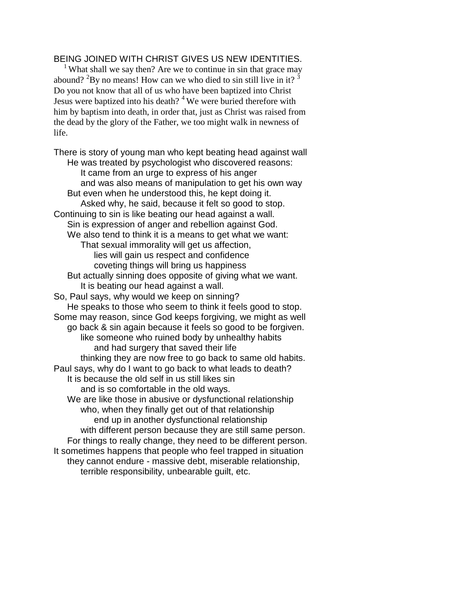# BEING JOINED WITH CHRIST GIVES US NEW IDENTITIES.

<sup>1</sup> What shall we say then? Are we to continue in sin that grace may abound?  ${}^{2}$ By no means! How can we who died to sin still live in it?  ${}^{3}$ Do you not know that all of us who have been baptized into Christ Jesus were baptized into his death?  $4$  We were buried therefore with him by baptism into death, in order that, just as Christ was raised from the dead by the glory of the Father, we too might walk in newness of life.

There is story of young man who kept beating head against wall He was treated by psychologist who discovered reasons: It came from an urge to express of his anger and was also means of manipulation to get his own way But even when he understood this, he kept doing it. Asked why, he said, because it felt so good to stop. Continuing to sin is like beating our head against a wall. Sin is expression of anger and rebellion against God. We also tend to think it is a means to get what we want: That sexual immorality will get us affection, lies will gain us respect and confidence coveting things will bring us happiness But actually sinning does opposite of giving what we want. It is beating our head against a wall. So, Paul says, why would we keep on sinning? He speaks to those who seem to think it feels good to stop. Some may reason, since God keeps forgiving, we might as well go back & sin again because it feels so good to be forgiven. like someone who ruined body by unhealthy habits and had surgery that saved their life thinking they are now free to go back to same old habits. Paul says, why do I want to go back to what leads to death? It is because the old self in us still likes sin and is so comfortable in the old ways. We are like those in abusive or dysfunctional relationship who, when they finally get out of that relationship end up in another dysfunctional relationship with different person because they are still same person. For things to really change, they need to be different person. It sometimes happens that people who feel trapped in situation they cannot endure - massive debt, miserable relationship, terrible responsibility, unbearable guilt, etc.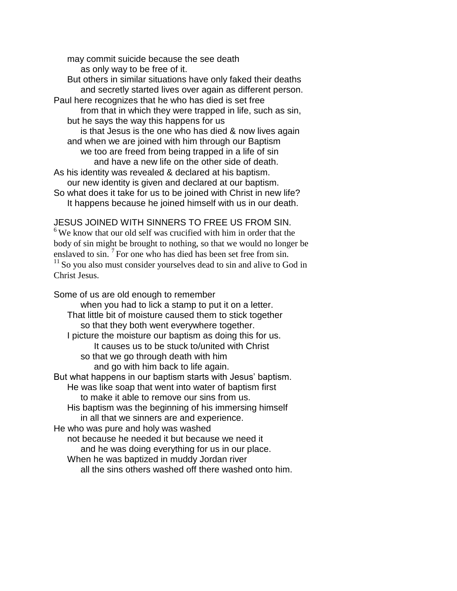may commit suicide because the see death as only way to be free of it.

But others in similar situations have only faked their deaths and secretly started lives over again as different person. Paul here recognizes that he who has died is set free from that in which they were trapped in life, such as sin, but he says the way this happens for us is that Jesus is the one who has died & now lives again and when we are joined with him through our Baptism we too are freed from being trapped in a life of sin and have a new life on the other side of death. As his identity was revealed & declared at his baptism. our new identity is given and declared at our baptism. So what does it take for us to be joined with Christ in new life? It happens because he joined himself with us in our death.

## JESUS JOINED WITH SINNERS TO FREE US FROM SIN.

 $6$  We know that our old self was crucified with him in order that the body of sin might be brought to nothing, so that we would no longer be enslaved to sin.  $<sup>7</sup>$  For one who has died has been set free from sin.</sup>  $11$  So you also must consider yourselves dead to sin and alive to God in Christ Jesus.

Some of us are old enough to remember when you had to lick a stamp to put it on a letter. That little bit of moisture caused them to stick together so that they both went everywhere together. I picture the moisture our baptism as doing this for us. It causes us to be stuck to/united with Christ so that we go through death with him and go with him back to life again. But what happens in our baptism starts with Jesus' baptism. He was like soap that went into water of baptism first to make it able to remove our sins from us. His baptism was the beginning of his immersing himself in all that we sinners are and experience. He who was pure and holy was washed not because he needed it but because we need it and he was doing everything for us in our place. When he was baptized in muddy Jordan river all the sins others washed off there washed onto him.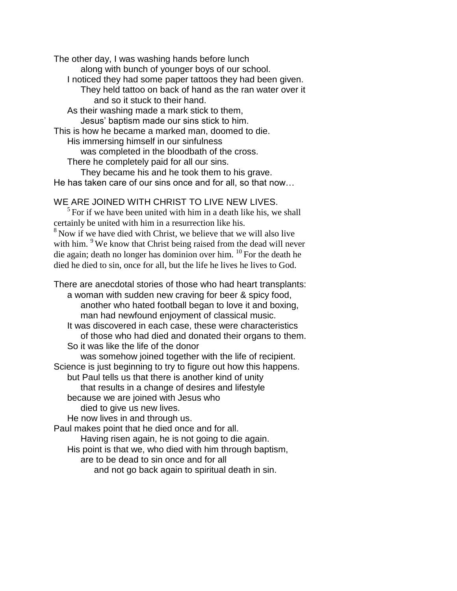The other day, I was washing hands before lunch along with bunch of younger boys of our school. I noticed they had some paper tattoos they had been given. They held tattoo on back of hand as the ran water over it and so it stuck to their hand. As their washing made a mark stick to them, Jesus' baptism made our sins stick to him. This is how he became a marked man, doomed to die. His immersing himself in our sinfulness was completed in the bloodbath of the cross. There he completely paid for all our sins. They became his and he took them to his grave.

He has taken care of our sins once and for all, so that now…

## WE ARE JOINED WITH CHRIST TO LIVE NEW LIVES.

 $<sup>5</sup>$  For if we have been united with him in a death like his, we shall</sup> certainly be united with him in a resurrection like his. <sup>8</sup> Now if we have died with Christ, we believe that we will also live

with him. <sup>9</sup> We know that Christ being raised from the dead will never die again; death no longer has dominion over him.  $^{10}$  For the death he died he died to sin, once for all, but the life he lives he lives to God.

There are anecdotal stories of those who had heart transplants: a woman with sudden new craving for beer & spicy food, another who hated football began to love it and boxing, man had newfound enjoyment of classical music.

It was discovered in each case, these were characteristics of those who had died and donated their organs to them. So it was like the life of the donor

was somehow joined together with the life of recipient. Science is just beginning to try to figure out how this happens.

but Paul tells us that there is another kind of unity

that results in a change of desires and lifestyle

because we are joined with Jesus who

died to give us new lives.

He now lives in and through us.

Paul makes point that he died once and for all.

Having risen again, he is not going to die again.

His point is that we, who died with him through baptism,

are to be dead to sin once and for all

and not go back again to spiritual death in sin.